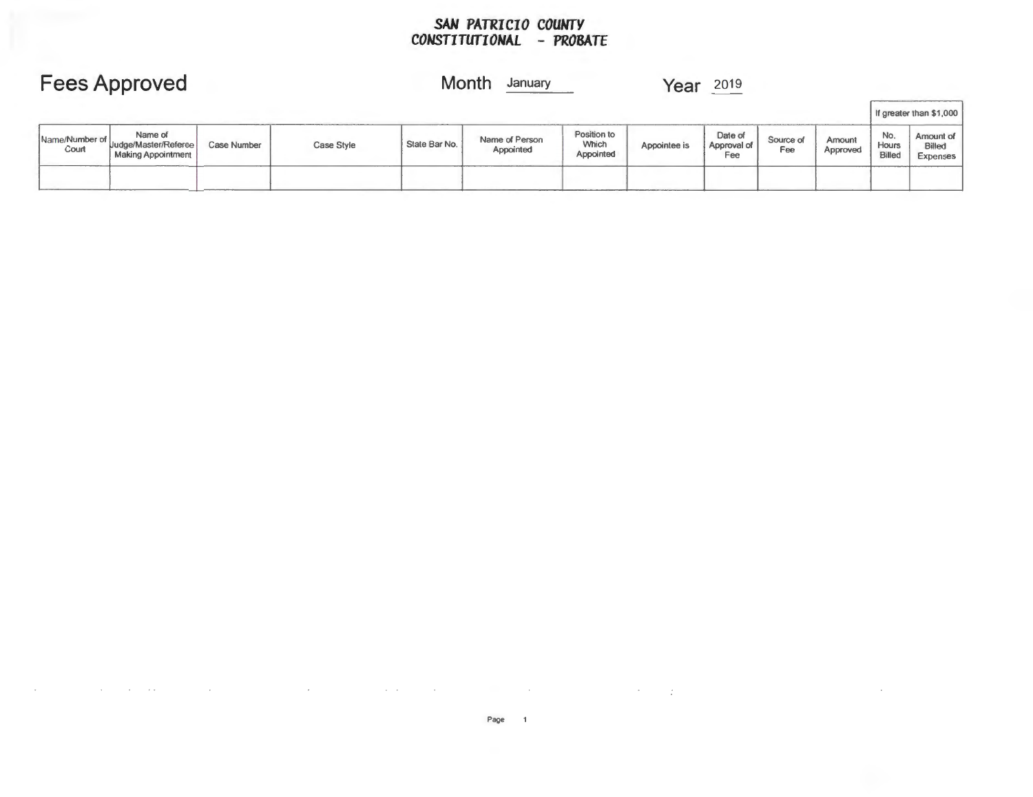#### *SAN PATRICIO COUNTY CONSTITUTIONAL* **-** *PROBATE*

## **Fees Approved**

### **Month** January

**Year** 2019

|                           |                                                       |             |            |               |                             |                                   |              |                               |                  |                    |                               | If greater than \$1,000                |
|---------------------------|-------------------------------------------------------|-------------|------------|---------------|-----------------------------|-----------------------------------|--------------|-------------------------------|------------------|--------------------|-------------------------------|----------------------------------------|
| Name/Number of  <br>Court | Name of<br>Uudge/Master/Referee<br>Making Appointment | Case Number | Case Style | State Bar No. | Name of Person<br>Appointed | Position to<br>Which<br>Appointed | Appointee is | Date of<br>Approval of<br>Fee | Source of<br>Fee | Amount<br>Approved | No.<br><b>Hours</b><br>Billed | Amount of<br><b>Billed</b><br>Expenses |
|                           |                                                       | ________    |            |               |                             |                                   |              |                               |                  |                    |                               |                                        |

 $\mathcal{F}^{\text{max}}_{\text{max}}$  ,  $\mathcal{F}^{\text{max}}_{\text{max}}$ 

 $\overline{\phantom{a}}$ 

 $\sim$ 

 $\sim$   $\sim$ 

 $\sim$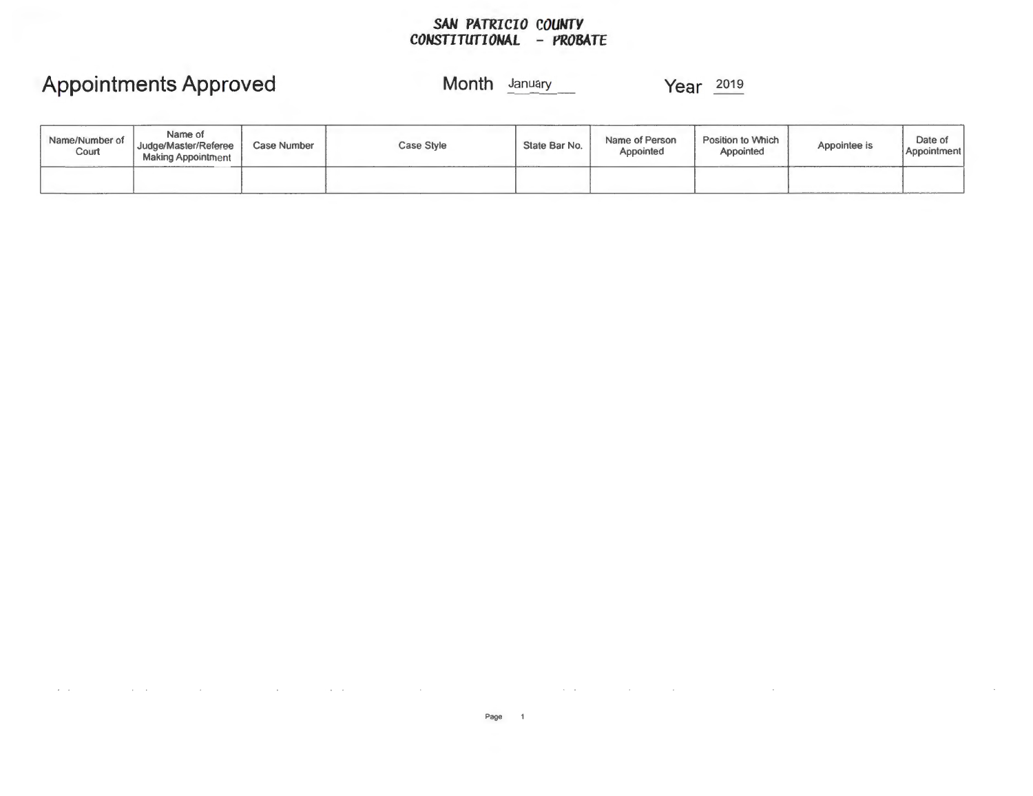### *SAN PATRICIO COUNTY CONSTITUTIONAL* **-** *PROBATE*

## **Appointments Approved**

### **Month** January **Year** <sup>2019</sup>

 $\sim$ 

| Name/Number of<br>Court | Name of<br>Judge/Master/Referee<br><b>Making Appointment</b> | Case Number | Case Style | State Bar No. | Name of Person<br>Appointed | Position to Which<br>Appointed | Appointee is | Date of<br>Appointment |
|-------------------------|--------------------------------------------------------------|-------------|------------|---------------|-----------------------------|--------------------------------|--------------|------------------------|
|                         |                                                              |             |            |               |                             |                                |              |                        |

 $\mathcal{A}^{\mathcal{A}}$  and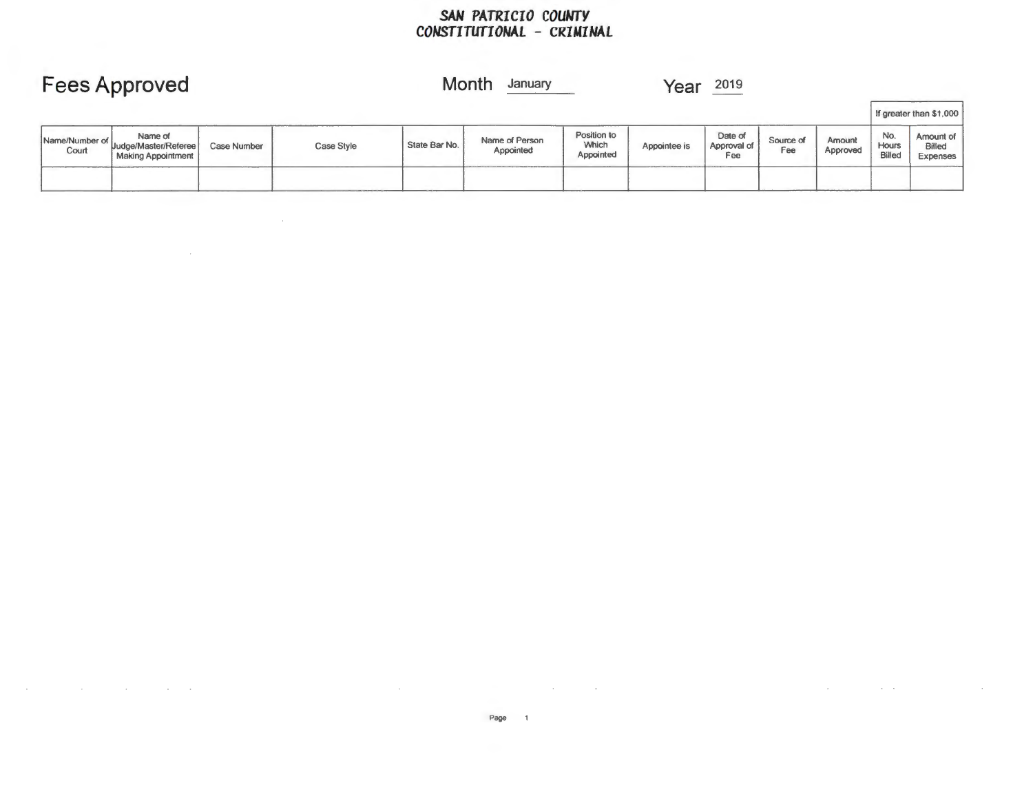### *SAN PATRICIO COUNTY CONSTITUTIONAL* **-** *CRIMINAL*

| <b>Fees Approved</b>    |                                                       |                    |            |               | Month<br>January            |                                   | 2019<br>Year |                               |                  |                    |                               |                                 |
|-------------------------|-------------------------------------------------------|--------------------|------------|---------------|-----------------------------|-----------------------------------|--------------|-------------------------------|------------------|--------------------|-------------------------------|---------------------------------|
|                         |                                                       |                    |            |               |                             |                                   |              |                               |                  |                    |                               | If greater than \$1,000         |
| Name/Number of<br>Court | Name of<br>Uudge/Master/Referee<br>Making Appointment | <b>Case Number</b> | Case Style | State Bar No. | Name of Person<br>Appointed | Position to<br>Which<br>Appointed | Appointee is | Date of<br>Approval of<br>Fee | Source of<br>Fee | Amount<br>Approved | No.<br>Hours<br><b>Billed</b> | Amount of<br>Billed<br>Expenses |
|                         |                                                       |                    |            |               |                             |                                   |              |                               |                  |                    |                               |                                 |

 $\mathcal{L}^{\text{max}}_{\text{max}}$  ,  $\mathcal{L}^{\text{max}}_{\text{max}}$ 

 $\mathcal{L}^{\text{max}}_{\text{max}}$  and  $\mathcal{L}^{\text{max}}_{\text{max}}$ 

the contract of the contract of the contract of the contract of

many control of the control of

 $\mathcal{L}^{\mathcal{L}}$  and the contribution of the contribution of the contribution of the contribution of  $\mathcal{L}^{\mathcal{L}}$ 

 $\mathcal{L}^{\text{max}}_{\text{max}}$  and  $\mathcal{L}^{\text{max}}_{\text{max}}$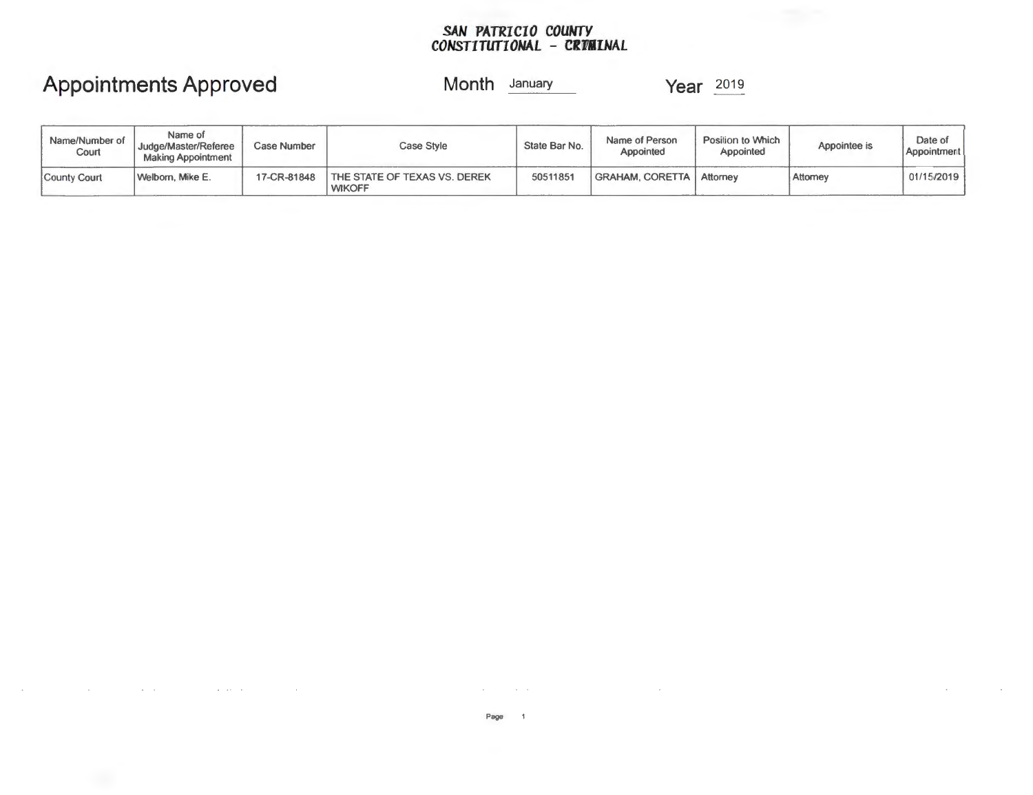#### *SAN PATRICIO COUNTY CONSTITUfIONAL* **- CRiFMINAL**

# **Appointments Approved**

**Month January Year** 2019

| Name/Number of<br>Court | Name of<br>Judge/Master/Referee<br><b>Making Appointment</b> | Case Number | Case Style                                    | State Bar No. | Name of Person<br>Appointed | Position to Which<br>Appointed | Appointee is | Date of<br>Appointment |
|-------------------------|--------------------------------------------------------------|-------------|-----------------------------------------------|---------------|-----------------------------|--------------------------------|--------------|------------------------|
| County Court            | Welborn, Mike E.                                             | 17-CR-81848 | THE STATE OF TEXAS VS. DEREK<br><b>WIKOFF</b> | 50511851      | <b>GRAHAM, CORETTA  </b>    | . Attorney                     | Attorney     | 01/15/2019             |

**Service** 

 $\Delta$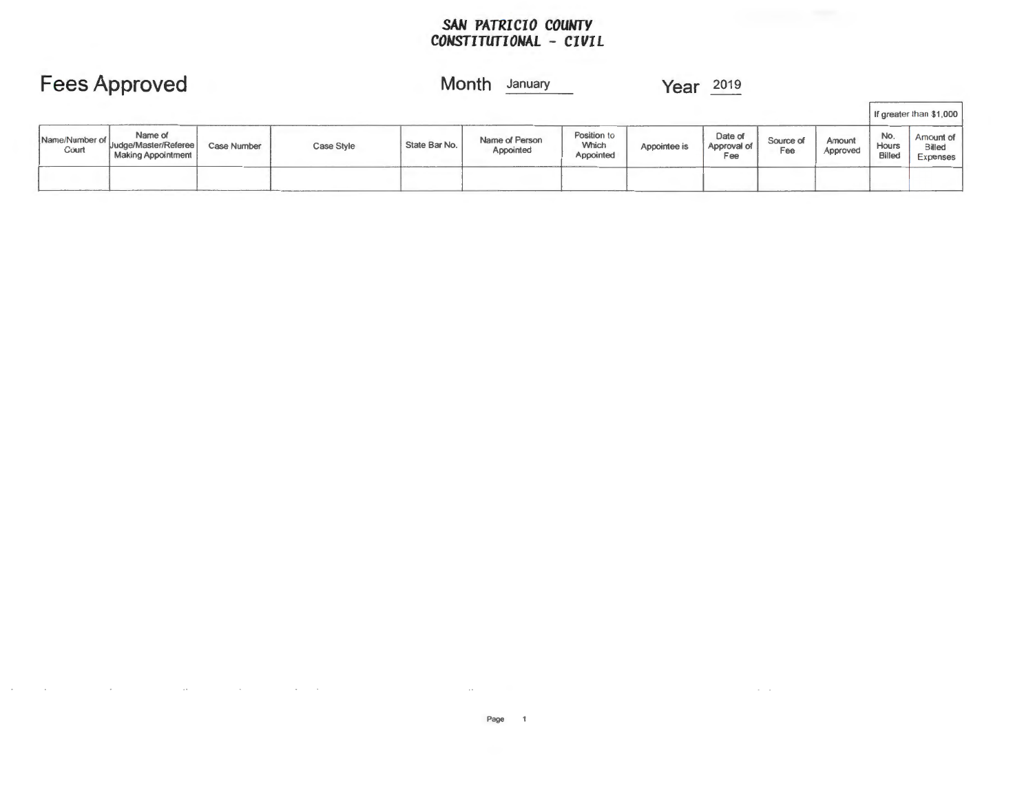### *SAN PATRICIO COUNTY CONSTITUTIONAL* **-** *CIVIL*

| <b>Fees Approved</b>    |                                                              |                    |            | Month<br>Year<br>January |                             |                                          |              |                               |                  |                    |                               |                                 |
|-------------------------|--------------------------------------------------------------|--------------------|------------|--------------------------|-----------------------------|------------------------------------------|--------------|-------------------------------|------------------|--------------------|-------------------------------|---------------------------------|
|                         |                                                              |                    |            |                          |                             |                                          |              |                               |                  |                    |                               | If greater than \$1,000         |
| Name/Number of<br>Court | Name of<br>Uudge/Master/Referee<br><b>Making Appointment</b> | <b>Case Number</b> | Case Style | State Bar No.            | Name of Person<br>Appointed | Position to<br><b>Which</b><br>Appointed | Appointee is | Date of<br>Approval of<br>Fee | Source of<br>Fee | Amount<br>Approved | No.<br>Hours<br><b>Billed</b> | Amount of<br>Billed<br>Expenses |
|                         |                                                              |                    |            |                          |                             |                                          |              |                               |                  |                    |                               |                                 |

 $\sim$ 

 $\alpha$  ,  $\alpha$  ,  $\alpha$  ,  $\alpha$  ,  $\alpha$ 

 $\ddot{\phantom{0}}$ 

 $\alpha$  ,  $\alpha$  ,  $\alpha$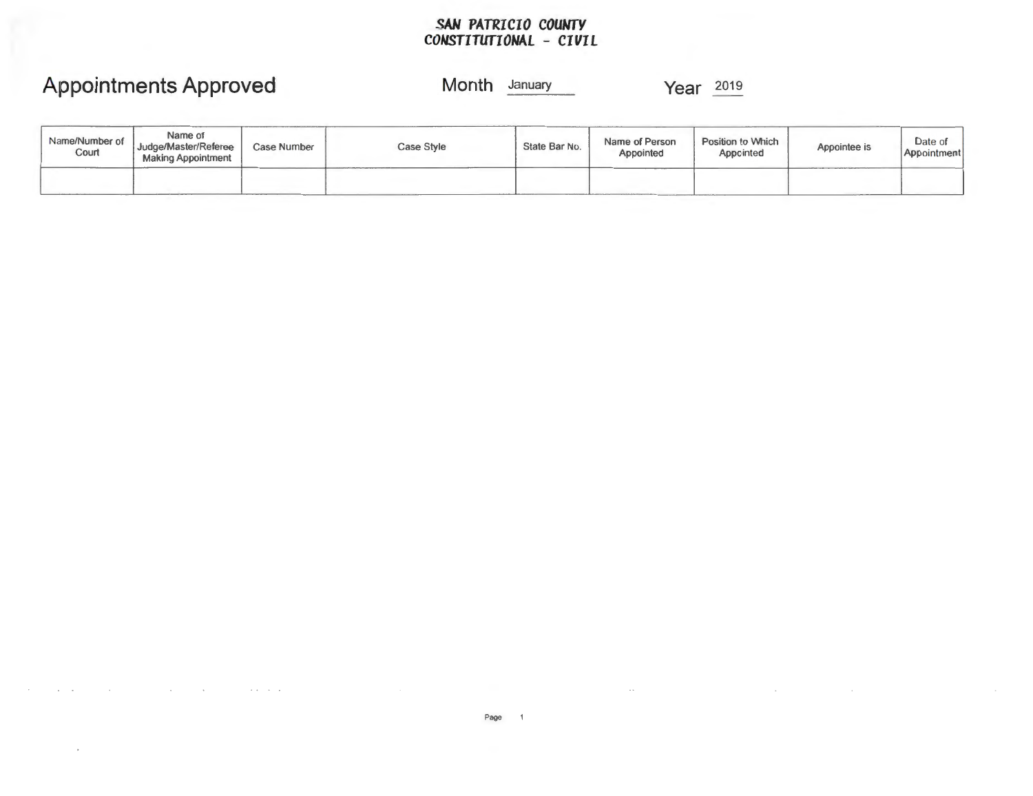### *SAN PATRICIO COUWTY CONSTITUTIONAL* **-** *CIVIL*

# **Appointments Approved**

### **Month** January

| Name/Number of<br>Court | Name of<br>Judge/Master/Referee<br><b>Making Appointment</b> | <b>Case Number</b> | <b>Case Style</b> | State Bar No. | Name of Person<br>Appointed | Position to Which<br>Appcinted | Appointee is | $L$ ate of<br>Appointment |
|-------------------------|--------------------------------------------------------------|--------------------|-------------------|---------------|-----------------------------|--------------------------------|--------------|---------------------------|
|                         |                                                              |                    |                   |               |                             |                                |              |                           |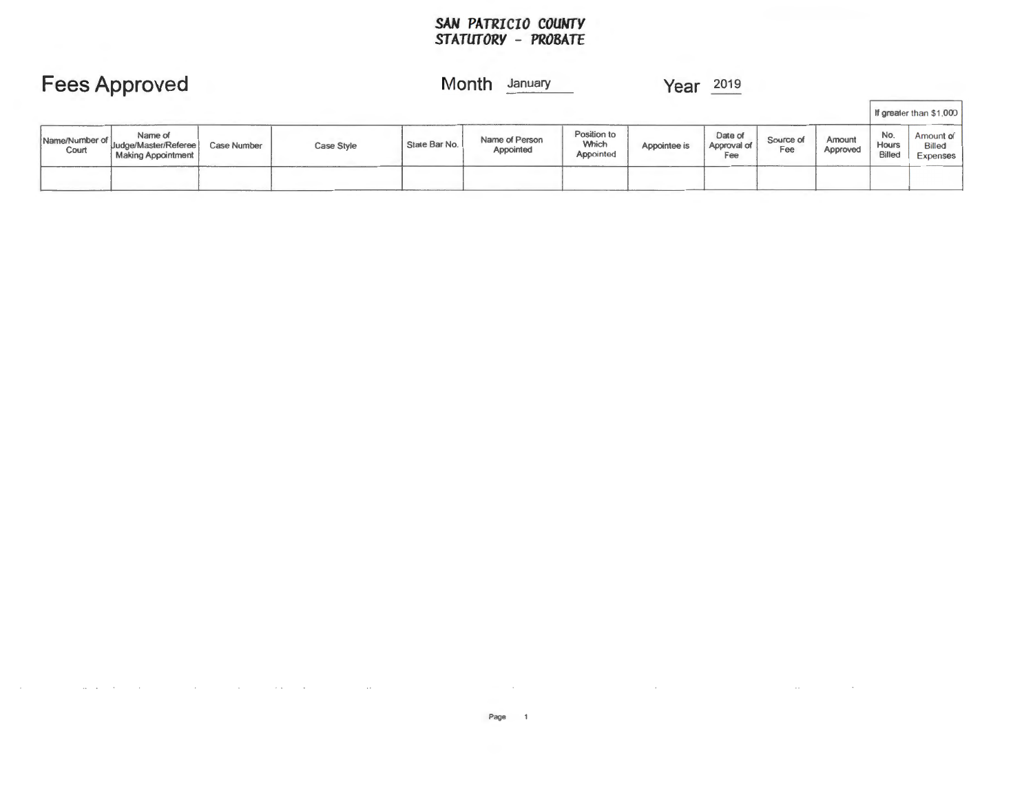### *SAN PATRICIO COUMrY STATUTORY* **-** *PROBATE*

|                         | <b>Fees Approved</b>                                  |                    |                   | Month         | January                     |                                          | Year         | 2019                          |                  |                    |                                      |                                             |
|-------------------------|-------------------------------------------------------|--------------------|-------------------|---------------|-----------------------------|------------------------------------------|--------------|-------------------------------|------------------|--------------------|--------------------------------------|---------------------------------------------|
|                         |                                                       |                    |                   |               |                             |                                          |              |                               |                  |                    |                                      | If greater than \$1,000                     |
| Name/Number of<br>Court | Name of<br>Uudge/Master/Referee<br>Making Appointment | <b>Case Number</b> | <b>Case Style</b> | State Bar No. | Name of Person<br>Appointed | Position to<br><b>Which</b><br>Appointed | Appointee is | Date of<br>Approval of<br>Fee | Source of<br>Fee | Amount<br>Approved | No.<br><b>Hours</b><br><b>Billed</b> | Amount of<br>Billed<br>Expen <sup>ses</sup> |
|                         |                                                       |                    |                   |               |                             |                                          |              |                               |                  |                    |                                      |                                             |

 $\sim$   $\sim$ 

 $\sim$ 

 $\sim$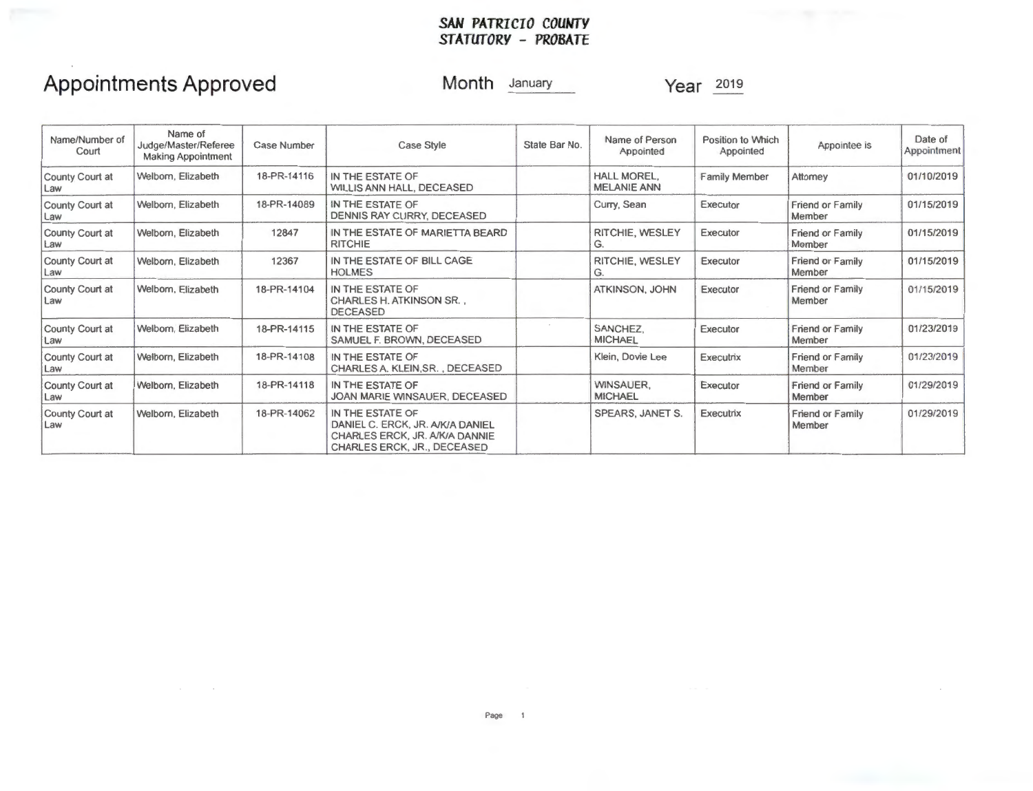### *SAN PATRICIO COUNTY STATUTORY* **-** *PROBATE*

## **Appointments Approved**

**Month** January

| Name/Number of<br>Court | Name of<br>Judge/Master/Referee<br><b>Making Appointment</b> | <b>Case Number</b> | Case Style                                                                                                            | State Bar No. | Name of Person<br>Appointed       | Position to Which<br>Appointed | Appointee is                      | Date of<br>Appointment |
|-------------------------|--------------------------------------------------------------|--------------------|-----------------------------------------------------------------------------------------------------------------------|---------------|-----------------------------------|--------------------------------|-----------------------------------|------------------------|
| County Court at<br>Law  | Welborn, Elizabeth                                           | 18-PR-14116        | IN THE ESTATE OF<br>WILLIS ANN HALL, DECEASED                                                                         |               | HALL MOREL,<br><b>MELANIE ANN</b> | <b>Family Member</b>           | Attorney                          | 01/10/2019             |
| County Court at<br>Law  | Welborn, Elizabeth                                           | 18-PR-14089        | IN THE ESTATE OF<br>DENNIS RAY CURRY, DECEASED                                                                        |               | Curry, Sean                       | Executor                       | <b>Friend or Family</b><br>Member | 01/15/2019             |
| County Court at<br>Law  | Welborn, Elizabeth                                           | 12847              | IN THE ESTATE OF MARIETTA BEARD<br><b>RITCHIE</b>                                                                     |               | RITCHIE, WESLEY<br>G.             | Executor                       | Friend or Family<br>Member        | 01/15/2019             |
| County Court at<br>Law  | Welborn, Elizabeth                                           | 12367              | IN THE ESTATE OF BILL CAGE<br><b>HOLMES</b>                                                                           |               | RITCHIE, WESLEY<br>G.             | Executor                       | <b>Friend or Family</b><br>Member | 01/15/2019             |
| County Court at<br>Law  | Welborn, Elizabeth                                           | 18-PR-14104        | IN THE ESTATE OF<br>CHARLES H. ATKINSON SR.,<br><b>DECEASED</b>                                                       |               | ATKINSON, JOHN                    | Executor                       | Friend or Family<br>Member        | 01/15/2019             |
| County Court at<br>Law  | Welborn, Elizabeth                                           | 18-PR-14115        | IN THE ESTATE OF<br>SAMUEL F. BROWN, DECEASED                                                                         |               | SANCHEZ.<br><b>MICHAEL</b>        | Executor                       | <b>Friend or Family</b><br>Member | 01/23/2019             |
| County Court at<br>Law  | Welborn, Elizabeth                                           | 18-PR-14108        | IN THE ESTATE OF<br>CHARLES A. KLEIN, SR., DECEASED                                                                   |               | Klein, Dovie Lee                  | Executrix                      | <b>Friend or Family</b><br>Member | 01/23/2019             |
| County Court at<br>Law  | Welborn, Elizabeth                                           | 18-PR-14118        | IN THE ESTATE OF<br>JOAN MARIE WINSAUER, DECEASED                                                                     |               | WINSAUER.<br><b>MICHAEL</b>       | Executor                       | <b>Friend or Family</b><br>Member | 01/29/2019             |
| County Court at<br>Law  | Welborn, Elizabeth                                           | 18-PR-14062        | IN THE ESTATE OF<br>DANIEL C. ERCK, JR. A/K/A DANIEL<br>CHARLES ERCK, JR. A/K/A DANNIE<br>CHARLES ERCK, JR., DECEASED |               | SPEARS, JANET S.                  | Executrix                      | Friend or Family<br>Member        | 01/29/2019             |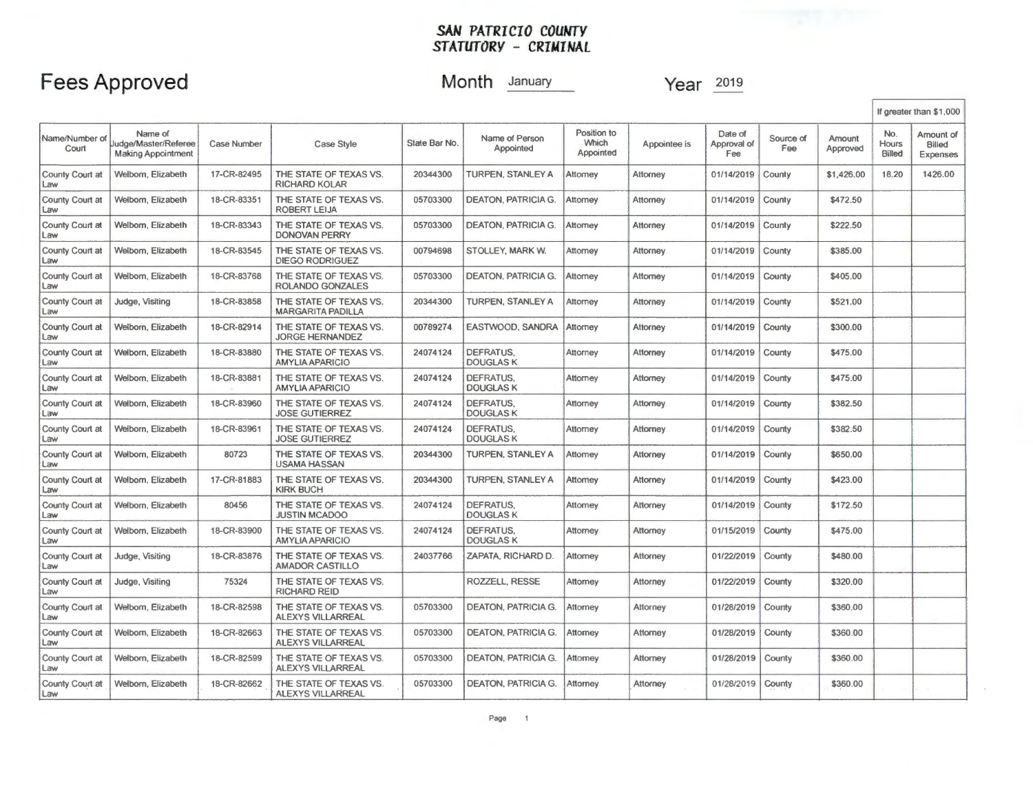## **Fees Approved**

### **Month** January

|                               |                                                              |             |                                                    |               |                                      |                                   |              |                               |                  |                    |                               | If greater than \$1,000         |
|-------------------------------|--------------------------------------------------------------|-------------|----------------------------------------------------|---------------|--------------------------------------|-----------------------------------|--------------|-------------------------------|------------------|--------------------|-------------------------------|---------------------------------|
| Name/Number of<br>Court       | Name of<br>Judge/Master/Referee<br><b>Making Appointment</b> | Case Number | Case Style                                         | State Bar No. | Name of Person<br>Appointed          | Position to<br>Which<br>Appointed | Appointee is | Date of<br>Approval of<br>Fee | Source of<br>Fee | Amount<br>Approved | No.<br>Hours<br><b>Billed</b> | Amount of<br>Billed<br>Expenses |
| County Court at<br>Law        | Welbom, Elizabeth                                            | 17-CR-82495 | THE STATE OF TEXAS VS.<br><b>RICHARD KOLAR</b>     | 20344300      | TURPEN, STANLEY A                    | Attomey                           | Attorney     | 01/14/2019                    | County           | \$1,426.00         | 18.20                         | 1426.00                         |
| County Court at<br>Law        | Weiborn, Elizabeth                                           | 18-CR-83351 | THE STATE OF TEXAS VS.<br>ROBERT LEIJA             | 05703300      | <b>DEATON, PATRICIA G.</b>           | Attomey                           | Attorney     | 01/14/2019                    | County           | \$472.50           |                               |                                 |
| County Court at<br>.aw        | Welborn, Elizabeth                                           | 18-CR-83343 | THE STATE OF TEXAS VS.<br><b>DONOVAN PERRY</b>     | 05703300      | <b>DEATON, PATRICIA G.</b>           | Attorney                          | Attorney     | 01/14/2019                    | County           | \$222.50           |                               |                                 |
| County Court at<br>Law        | Welborn, Elizabeth                                           | 18-CR-83545 | THE STATE OF TEXAS VS.<br><b>DIEGO RODRIGUEZ</b>   | 00794698      | STOLLEY, MARK W.                     | Attorney                          | Attorney     | 01/14/2019                    | County           | \$385.00           |                               |                                 |
| County Court at<br>Law        | Welborn, Elizabeth                                           | 18-CR-83768 | THE STATE OF TEXAS VS.<br>ROLANDO GONZALES         | 05703300      | <b>DEATON, PATRICIA G.</b>           | Attorney                          | Attorney     | 01/14/2019                    | County           | \$405.00           |                               |                                 |
| County Court at<br>Law        | Judge, Visiting                                              | 18-CR-83858 | THE STATE OF TEXAS VS.<br><b>MARGARITA PADILLA</b> | 20344300      | TURPEN, STANLEY A                    | Attorney                          | Attorney     | 01/14/2019                    | County           | \$521.00           |                               |                                 |
| County Court at<br>Law        | Welborn, Elizabeth                                           | 18-CR-82914 | THE STATE OF TEXAS VS.<br><b>JORGE HERNANDEZ</b>   | 00789274      | EASTWOOD, SANDRA                     | Attorney                          | Attorney     | 01/14/2019                    | County           | \$300.00           |                               |                                 |
| County Court at<br>Law        | Welborn, Elizabeth                                           | 18-CR-83880 | THE STATE OF TEXAS VS.<br>AMYLIA APARICIO          | 24074124      | DEFRATUS.<br><b>DOUGLASK</b>         | Attorney                          | Attorney     | 01/14/2019                    | County           | \$475.00           |                               |                                 |
| County Court at<br>Law        | Welborn, Elizabeth                                           | 18-CR-83881 | THE STATE OF TEXAS VS.<br><b>AMYLIA APARICIO</b>   | 24074124      | DEFRATUS.<br><b>DOUGLAS K</b>        | Attorney                          | Attorney     | 01/14/2019                    | County           | \$475.00           |                               |                                 |
| County Court at<br>Law        | Welborn, Elizabeth                                           | 18-CR-83960 | THE STATE OF TEXAS VS.<br><b>JOSE GUTIERREZ</b>    | 24074124      | DEFRATUS.<br><b>DOUGLASK</b>         | Attorney                          | Attorney     | 01/14/2019                    | County           | \$382.50           |                               |                                 |
| County Court at<br>Law        | Welborn, Elizabeth                                           | 18-CR-83961 | THE STATE OF TEXAS VS.<br><b>JOSE GUTIERREZ</b>    | 24074124      | <b>DEFRATUS,</b><br><b>DOUGLASK</b>  | Attorney                          | Attorney     | 01/14/2019                    | County           | \$382.50           |                               |                                 |
| County Court at<br>Law        | Welborn, Elizabeth                                           | 80723       | THE STATE OF TEXAS VS.<br><b>USAMA HASSAN</b>      | 20344300      | TURPEN, STANLEY A                    | Attorney                          | Attorney     | 01/14/2019                    | County           | \$650.00           |                               |                                 |
| County Court at<br><b>JAW</b> | Welborn, Elizabeth                                           | 17-CR-81883 | THE STATE OF TEXAS VS.<br><b>KIRK BUCH</b>         | 20344300      | TURPEN, STANLEY A                    | Attomey                           | Attorney     | 01/14/2019                    | County           | \$423.00           |                               |                                 |
| County Court at<br>Law        | Welborn, Elizabeth                                           | 80456       | THE STATE OF TEXAS VS.<br><b>JUSTIN MCADOO</b>     | 24074124      | <b>DEFRATUS.</b><br><b>DOUGLAS K</b> | Attorney                          | Attorney     | 01/14/2019                    | County           | \$172.50           |                               |                                 |
| County Court at<br>Law        | Welborn, Elizabeth                                           | 18-CR-83900 | THE STATE OF TEXAS VS.<br>AMYLIA APARICIO          | 24074124      | <b>DEFRATUS.</b><br><b>DOUGLAS K</b> | Attorney                          | Attorney     | 01/15/2019                    | County           | \$475.00           |                               |                                 |
| County Court at<br>Law        | Judge, Visiting                                              | 18-CR-83876 | THE STATE OF TEXAS VS.<br><b>AMADOR CASTILLO</b>   | 24037766      | ZAPATA, RICHARD D.                   | Attorney                          | Attorney     | 01/22/2019                    | County           | \$480.00           |                               |                                 |
| County Court at<br>.aw        | Judge, Visiting                                              | 75324       | THE STATE OF TEXAS VS.<br><b>RICHARD REID</b>      |               | ROZZELL, RESSE                       | Attorney                          | Attorney     | 01/22/2019                    | County           | \$320.00           |                               |                                 |
| County Court at<br>$-3w$      | Welborn, Elizabeth                                           | 18-CR-82598 | THE STATE OF TEXAS VS.<br><b>ALEXYS VILLARREAL</b> | 05703300      | <b>DEATON, PATRICIA G.</b>           | Attorney                          | Attorney     | 01/28/2019                    | County           | \$360.00           |                               |                                 |
| County Court at<br>Law        | Weiborn, Elizabeth                                           | 18-CR-82663 | THE STATE OF TEXAS VS.<br><b>ALEXYS VILLARREAL</b> | 05703300      | DEATON, PATRICIA G.                  | Attorney                          | Attorney     | 01/28/2019                    | County           | \$360.00           |                               |                                 |
| County Court at<br>Law        | Welborn, Elizabeth                                           | 18-CR-82599 | THE STATE OF TEXAS VS.<br><b>ALEXYS VILLARREAL</b> | 05703300      | <b>DEATON, PATRICIA G.</b>           | Attorney                          | Attorney     | 01/28/2019                    | County           | \$360.00           |                               |                                 |
| County Court at<br>Law        | Welborn, Elizabeth                                           | 18-CR-82662 | THE STATE OF TEXAS VS.<br>ALEXYS VILLARREAL        | 05703300      | DEATON, PATRICIA G.                  | Attorney                          | Attorney     | 01/28/2019                    | County           | \$360.00           |                               |                                 |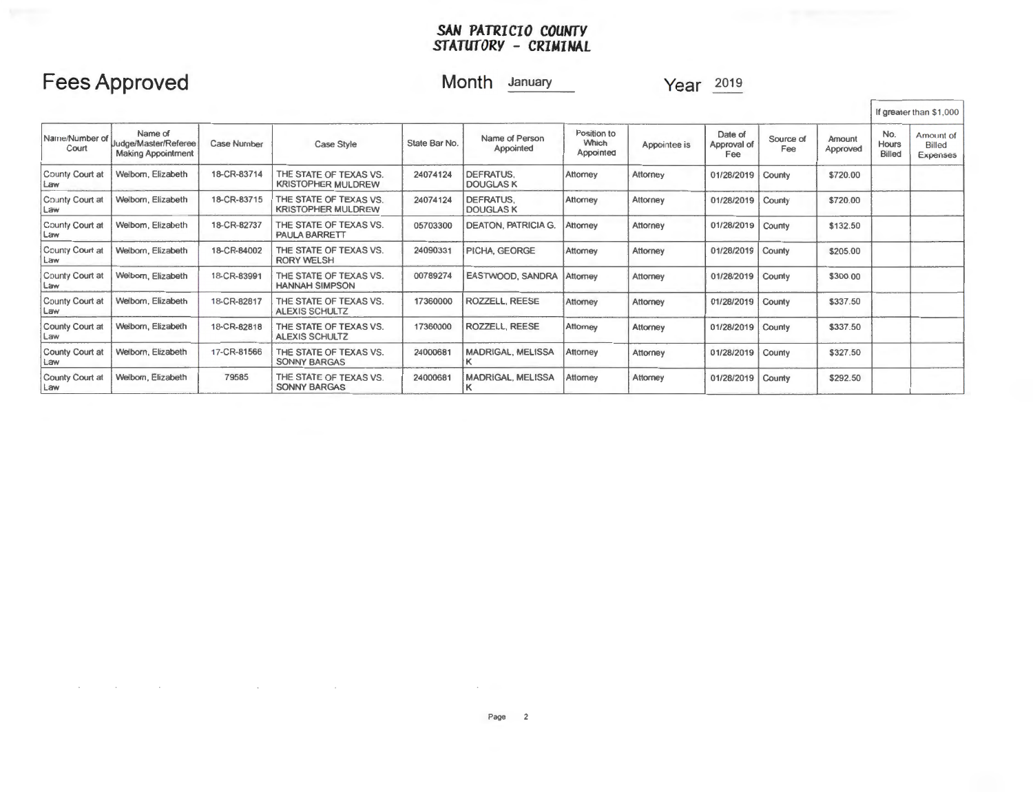## **Fees Approved**

 $\sim$ 

### **Month** January

|                         |                                                              |                    |                                                     |               |                                    |                                   |              |                               |                  |                    |                        | If greater than \$1,000                |
|-------------------------|--------------------------------------------------------------|--------------------|-----------------------------------------------------|---------------|------------------------------------|-----------------------------------|--------------|-------------------------------|------------------|--------------------|------------------------|----------------------------------------|
| Name/Number of<br>Court | Name of<br>Judge/Master/Referee<br><b>Making Appointment</b> | <b>Case Number</b> | Case Style                                          | State Bar No. | Name of Person<br>Appointed        | Position to<br>Which<br>Appointed | Appointee is | Date of<br>Approval of<br>Fee | Source of<br>Fee | Amount<br>Approved | No.<br>Hours<br>Billed | Amount of<br><b>Billed</b><br>Exponece |
| County Court at<br>Law  | Welborn, Elizabeth                                           | 18-CR-83714        | THE STATE OF TEXAS VS.<br><b>KRISTOPHER MULDREW</b> | 24074124      | DEFRATUS.<br><b>DOUGLASK</b>       | Attorney                          | Attorney     | 01/28/2019                    | County           | \$720.00           |                        |                                        |
| County Court at<br>Law  | Welborn, Elizabeth                                           | 18-CR-83715        | THE STATE OF TEXAS VS.<br><b>KRISTOPHER MULDREW</b> | 24074124      | DEFRATUS.<br><b>DOUGLASK</b>       | Attorney                          | Attorney     | 01/28/2019                    | County           | \$720.00           |                        |                                        |
| County Court at<br>Law  | Welbom, Elizabeth                                            | 18-CR-82737        | THE STATE OF TEXAS VS.<br><b>PAULA BARRETT</b>      | 05703300      | <b>DEATON, PATRICIA G.</b>         | Attorney                          | Attorney     | 01/28/2019                    | County           | \$132.50           |                        |                                        |
| County Court at<br>Law  | Welborn, Elizabeth                                           | 18-CR-84002        | THE STATE OF TEXAS VS.<br><b>RORY WELSH</b>         | 24090331      | PICHA, GEORGE                      | Attorney                          | Attorney     | 01/28/2019                    | County           | \$205.00           |                        |                                        |
| County Court at<br>Law  | Welborn, Elizabeth                                           | 18-CR-83991        | THE STATE OF TEXAS VS.<br><b>HANNAH SIMPSON</b>     | 00789274      | EASTWOOD, SANDRA                   | Attorney                          | Attorney     | 01/28/2019                    | County           | \$300.00           |                        |                                        |
| County Court at<br>Law  | Welborn, Elizabeth                                           | 18-CR-82817        | THE STATE OF TEXAS VS.<br><b>ALEXIS SCHULTZ</b>     | 17360000      | <b>ROZZELL, REESE</b>              | Attorney                          | Attorney     | 01/28/2019                    | County           | \$337.50           |                        |                                        |
| County Court at<br>Law  | Welborn, Elizabeth                                           | 18-CR-82818        | THE STATE OF TEXAS VS.<br><b>ALEXIS SCHULTZ</b>     | 17360000      | ROZZELL, REESE                     | Attorney                          | Attorney     | 01/28/2019                    | County           | \$337.50           |                        |                                        |
| County Court at<br>Law  | Welborn, Elizabeth                                           | 17-CR-81566        | THE STATE OF TEXAS VS.<br><b>SONNY BARGAS</b>       | 24000681      | <b>MADRIGAL, MELISSA</b>           | Attorney                          | Attorney     | 01/28/2019                    | County           | \$327.50           |                        |                                        |
| County Court at<br>Law  | Welborn, Elizabeth                                           | 79585              | THE STATE OF TEXAS VS.<br><b>SONNY BARGAS</b>       | 24000681      | <b>MADRIGAL, MELISSA</b><br>$\sim$ | Attorney                          | Attorney     | 01/28/2019                    | County           | \$292.50           |                        |                                        |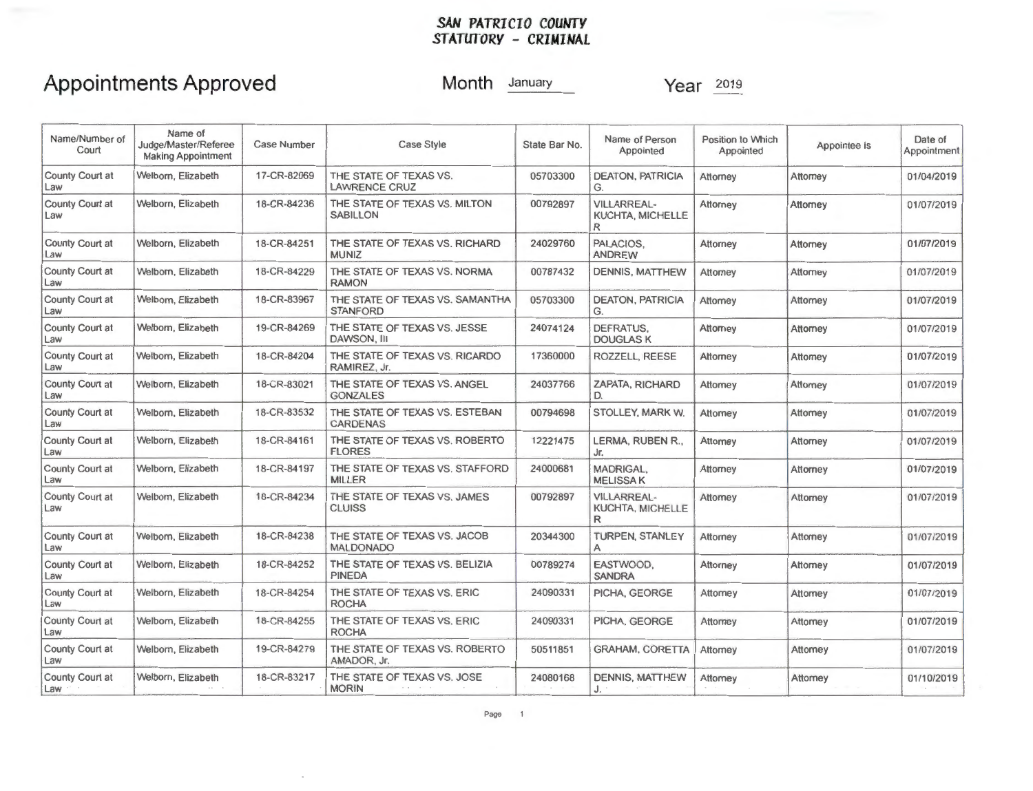## **Appointments Approved**

**Month** January

**Year** 2019

| Name/Number of<br>Court       | Name of<br>Judge/Master/Referee<br><b>Making Appointment</b> | <b>Case Number</b> | <b>Case Style</b>                                  | State Bar No. | Name of Person<br>Appointed                        | Position to Which<br>Appointed | Appointee is | Date of<br>Appointment |
|-------------------------------|--------------------------------------------------------------|--------------------|----------------------------------------------------|---------------|----------------------------------------------------|--------------------------------|--------------|------------------------|
| County Court at<br>Law        | Welborn, Elizabeth                                           | 17-CR-82069        | THE STATE OF TEXAS VS.<br><b>LAWRENCE CRUZ</b>     | 05703300      | <b>DEATON, PATRICIA</b><br>G.                      | Attorney                       | Attorney     | 01/04/2019             |
| <b>County Court at</b><br>Law | Welborn, Elizabeth                                           | 18-CR-84236        | THE STATE OF TEXAS VS. MILTON<br><b>SABILLON</b>   | 00792897      | <b>VILLARREAL-</b><br><b>KUCHTA, MICHELLE</b><br>R | Attorney                       | Attorney     | 01/07/2019             |
| County Court at<br>Law        | Welborn, Elizabeth                                           | 18-CR-84251        | THE STATE OF TEXAS VS. RICHARD<br><b>MUNIZ</b>     | 24029760      | PALACIOS.<br><b>ANDREW</b>                         | Attorney                       | Attorney     | 01/07/2019             |
| County Court at<br>Law        | Welborn, Elizabeth                                           | 18-CR-84229        | THE STATE OF TEXAS VS. NORMA<br><b>RAMON</b>       | 00787432      | <b>DENNIS, MATTHEW</b>                             | Attorney                       | Attorney     | 01/07/2019             |
| County Court at<br>Law        | Welbom, Elizabeth                                            | 18-CR-83967        | THE STATE OF TEXAS VS. SAMANTHA<br><b>STANFORD</b> | 05703300      | <b>DEATON, PATRICIA</b><br>G.                      | Attomey                        | Attomey      | 01/07/2019             |
| County Court at<br>Law        | Welborn, Elizabeth                                           | 19-CR-84269        | THE STATE OF TEXAS VS. JESSE<br>DAWSON, III        | 24074124      | DEFRATUS.<br><b>DOUGLAS K</b>                      | Attorney                       | Attorney     | 01/07/2019             |
| <b>County Court at</b><br>Law | Welbom, Elizabeth                                            | 18-CR-84204        | THE STATE OF TEXAS VS. RICARDO<br>RAMIREZ, Jr.     | 17360000      | ROZZELL, REESE                                     | Attorney                       | Attomey      | 01/07/2019             |
| County Court at<br>Law        | Welborn, Elizabeth                                           | 18-CR-83021        | THE STATE OF TEXAS VS. ANGEL<br><b>GONZALES</b>    | 24037766      | ZAPATA, RICHARD<br>D.                              | Attorney                       | Attomey      | 01/07/2019             |
| County Court at<br>Law        | Welborn, Elizabeth                                           | 18-CR-83532        | THE STATE OF TEXAS VS. ESTEBAN<br><b>CARDENAS</b>  | 00794698      | STOLLEY, MARK W.                                   | Attomey                        | Attomey      | 01/07/2019             |
| County Court at<br>Law        | Welborn, Elizabeth                                           | 18-CR-84161        | THE STATE OF TEXAS VS. ROBERTO<br><b>FLORES</b>    | 12221475      | LERMA, RUBEN R.,<br>Jr.                            | Attomey                        | Attorney     | 01/07/2019             |
| County Court at<br>Law        | Welborn, Elizabeth                                           | 18-CR-84197        | THE STATE OF TEXAS VS. STAFFORD<br><b>MILLER</b>   | 24000681      | MADRIGAL,<br><b>MELISSAK</b>                       | Attorney                       | Attorney     | 01/07/2019             |
| County Court at<br>Law        | Welborn, Elizabeth                                           | 18-CR-84234        | THE STATE OF TEXAS VS. JAMES<br><b>CLUISS</b>      | 00792897      | <b>VILLARREAL-</b><br><b>KUCHTA, MICHELLE</b><br>R | Attorney                       | Attorney     | 01/07/2019             |
| County Court at<br>Law        | Welborn, Elizabeth                                           | 18-CR-84238        | THE STATE OF TEXAS VS. JACOB<br><b>MALDONADO</b>   | 20344300      | <b>TURPEN, STANLEY</b><br>A                        | Attorney                       | Attorney     | 01/07/2019             |
| County Court at<br>Law        | Welborn, Elizabeth                                           | 18-CR-84252        | THE STATE OF TEXAS VS. BELIZIA<br><b>PINEDA</b>    | 00789274      | EASTWOOD.<br><b>SANDRA</b>                         | Attorney                       | Attomey      | 01/07/2019             |
| County Court at<br>Law        | Welborn, Elizabeth                                           | 18-CR-84254        | THE STATE OF TEXAS VS. ERIC<br><b>ROCHA</b>        | 24090331      | PICHA, GEORGE                                      | Attomey                        | Attorney     | 01/07/2019             |
| County Court at<br>Law        | Welbom, Elizabeth                                            | 18-CR-84255        | THE STATE OF TEXAS VS. ERIC<br><b>ROCHA</b>        | 24090331      | PICHA, GEORGE                                      | Attorney                       | Attomey      | 01/07/2019             |
| County Court at<br>Law        | Welborn, Elizabeth                                           | 19-CR-84279        | THE STATE OF TEXAS VS. ROBERTO<br>AMADOR, Jr.      | 50511851      | <b>GRAHAM, CORETTA</b>                             | Attorney                       | Attomey      | 01/07/2019             |
| County Court at<br>Law        | Welborn, Elizabeth                                           | 18-CR-83217        | THE STATE OF TEXAS VS. JOSE<br><b>MORIN</b>        | 24080168      | <b>DENNIS, MATTHEW</b><br>$J_{\cdot}$              | Attomey                        | Attomey      | 01/10/2019             |

 $\sim$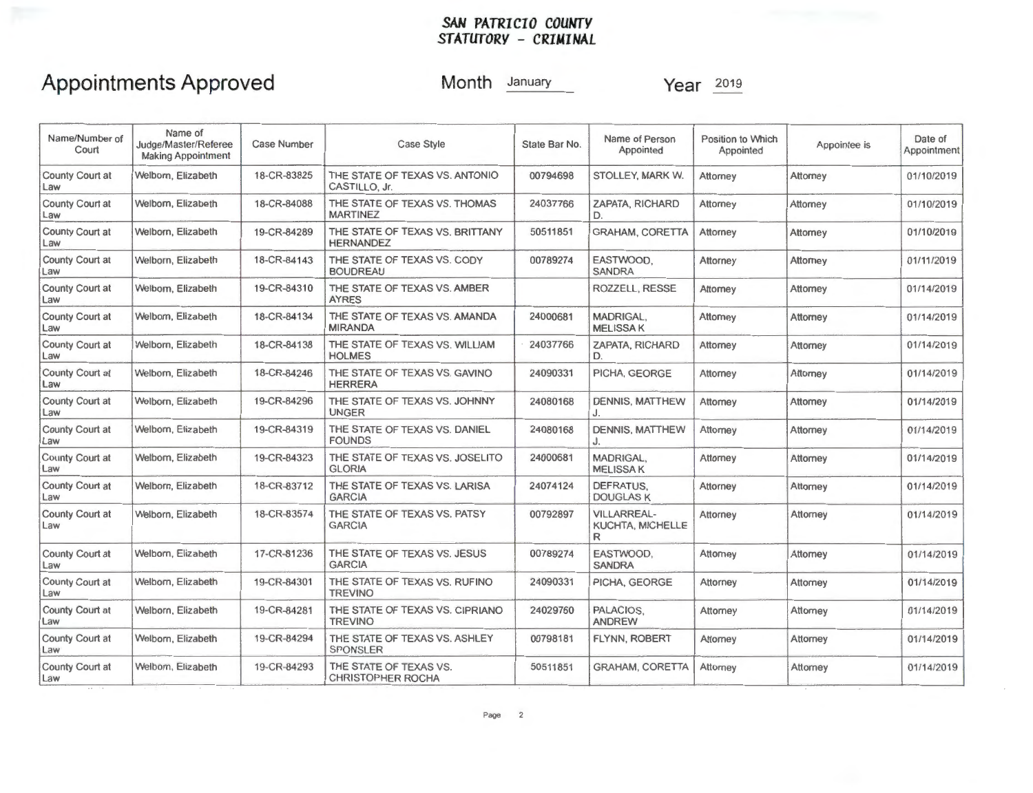## **Appointments Approved**

**Month** January **Year** <sup>2019</sup>

| Name/Number of<br>Court       | Name of<br>Judge/Master/Referee<br><b>Making Appointment</b> | <b>Case Number</b> | <b>Case Style</b>                                   | State Bar No. | Name of Person<br>Appointed                        | Position to Which<br>Appointed | Appointee is | Date of<br>Appointment |
|-------------------------------|--------------------------------------------------------------|--------------------|-----------------------------------------------------|---------------|----------------------------------------------------|--------------------------------|--------------|------------------------|
| County Court at<br>Law        | Welborn, Elizabeth                                           | 18-CR-83825        | THE STATE OF TEXAS VS. ANTONIO<br>CASTILLO, Jr.     | 00794698      | STOLLEY, MARK W.                                   | Attorney                       | Attorney     | 01/10/2019             |
| County Court at<br>Law        | Welbom, Elizabeth                                            | 18-CR-84088        | THE STATE OF TEXAS VS. THOMAS<br><b>MARTINEZ</b>    | 24037766      | ZAPATA, RICHARD<br>D.                              | Attorney                       | Attorney     | 01/10/2019             |
| County Court at<br>Law        | Welborn, Elizabeth                                           | 19-CR-84289        | THE STATE OF TEXAS VS. BRITTANY<br><b>HERNANDEZ</b> | 50511851      | <b>GRAHAM, CORETTA</b>                             | Attorney                       | Attorney     | 01/10/2019             |
| County Court at<br>Law        | Welborn, Elizabeth                                           | 18-CR-84143        | THE STATE OF TEXAS VS. CODY<br><b>BOUDREAU</b>      | 00789274      | EASTWOOD.<br><b>SANDRA</b>                         | Attorney                       | Attomey      | 01/11/2019             |
| County Court at<br>Law        | Welborn, Elizabeth                                           | 19-CR-84310        | THE STATE OF TEXAS VS. AMBER<br><b>AYRES</b>        |               | ROZZELL, RESSE                                     | Attorney                       | Attorney     | 01/14/2019             |
| County Court at<br>Law        | Welborn, Elizabeth                                           | 18-CR-84134        | THE STATE OF TEXAS VS. AMANDA<br><b>MIRANDA</b>     | 24000681      | MADRIGAL.<br><b>MELISSAK</b>                       | Attorney                       | Attorney     | 01/14/2019             |
| County Court at<br>Law        | Welborn, Elizabeth                                           | 18-CR-84138        | THE STATE OF TEXAS VS. WILLIAM<br><b>HOLMES</b>     | 24037766      | <b>ZAPATA, RICHARD</b><br>D.                       | Attomey                        | Attorney     | 01/14/2019             |
| County Court at<br>Law        | Welborn, Elizabeth                                           | 18-CR-84246        | THE STATE OF TEXAS VS. GAVINO<br><b>HERRERA</b>     | 24090331      | PICHA, GEORGE                                      | Attorney                       | Attorney     | 01/14/2019             |
| County Court at<br>Law        | Welborn, Elizabeth                                           | 19-CR-84296        | THE STATE OF TEXAS VS. JOHNNY<br><b>UNGER</b>       | 24080168      | <b>DENNIS, MATTHEW</b><br>J.                       | Attomey                        | Attomey      | 01/14/2019             |
| <b>County Court at</b><br>Law | Welborn, Elizabeth                                           | 19-CR-84319        | THE STATE OF TEXAS VS. DANIEL<br><b>FOUNDS</b>      | 24080168      | <b>DENNIS, MATTHEW</b><br>J.                       | Attorney                       | Attorney     | 01/14/2019             |
| County Court at<br>Law        | Welbom, Elizabeth                                            | 19-CR-84323        | THE STATE OF TEXAS VS. JOSELITO<br><b>GLORIA</b>    | 24000681      | MADRIGAL,<br><b>MELISSAK</b>                       | Attorney                       | Attorney     | 01/14/2019             |
| County Court at<br>Law        | Welborn, Elizabeth                                           | 18-CR-83712        | THE STATE OF TEXAS VS. LARISA<br><b>GARCIA</b>      | 24074124      | DEFRATUS.<br><b>DOUGLAS K</b>                      | Attorney                       | Attorney     | 01/14/2019             |
| County Court at<br>Law        | Welborn, Elizabeth                                           | 18-CR-83574        | THE STATE OF TEXAS VS. PATSY<br><b>GARCIA</b>       | 00792897      | <b>VILLARREAL-</b><br><b>KUCHTA, MICHELLE</b><br>R | Attorney                       | Attorney     | 01/14/2019             |
| County Court at<br>Law        | Welborn, Elizabeth                                           | 17-CR-81236        | THE STATE OF TEXAS VS. JESUS<br><b>GARCIA</b>       | 00789274      | EASTWOOD.<br><b>SANDRA</b>                         | Attomey                        | Attorney     | 01/14/2019             |
| County Court at<br>Law        | Welborn, Elizabeth                                           | 19-CR-84301        | THE STATE OF TEXAS VS. RUFINO<br><b>TREVINO</b>     | 24090331      | PICHA, GEORGE                                      | Attorney                       | Attorney     | 01/14/2019             |
| County Court at<br>Law        | Welborn, Elizabeth                                           | 19-CR-84281        | THE STATE OF TEXAS VS. CIPRIANO<br><b>TREVINO</b>   | 24029760      | PALACIOS.<br><b>ANDREW</b>                         | Attorney                       | Attorney     | 01/14/2019             |
| County Court at<br>Law        | Welborn, Elizabeth                                           | 19-CR-84294        | THE STATE OF TEXAS VS. ASHLEY<br><b>SPONSLER</b>    | 00798181      | FLYNN, ROBERT                                      | Attorney                       | Attomey      | 01/14/2019             |
| County Court at<br>Law        | Welborn, Elizabeth                                           | 19-CR-84293        | THE STATE OF TEXAS VS.<br><b>CHRISTOPHER ROCHA</b>  | 50511851      | <b>GRAHAM, CORETTA</b>                             | Attorney                       | Attorney     | 01/14/2019             |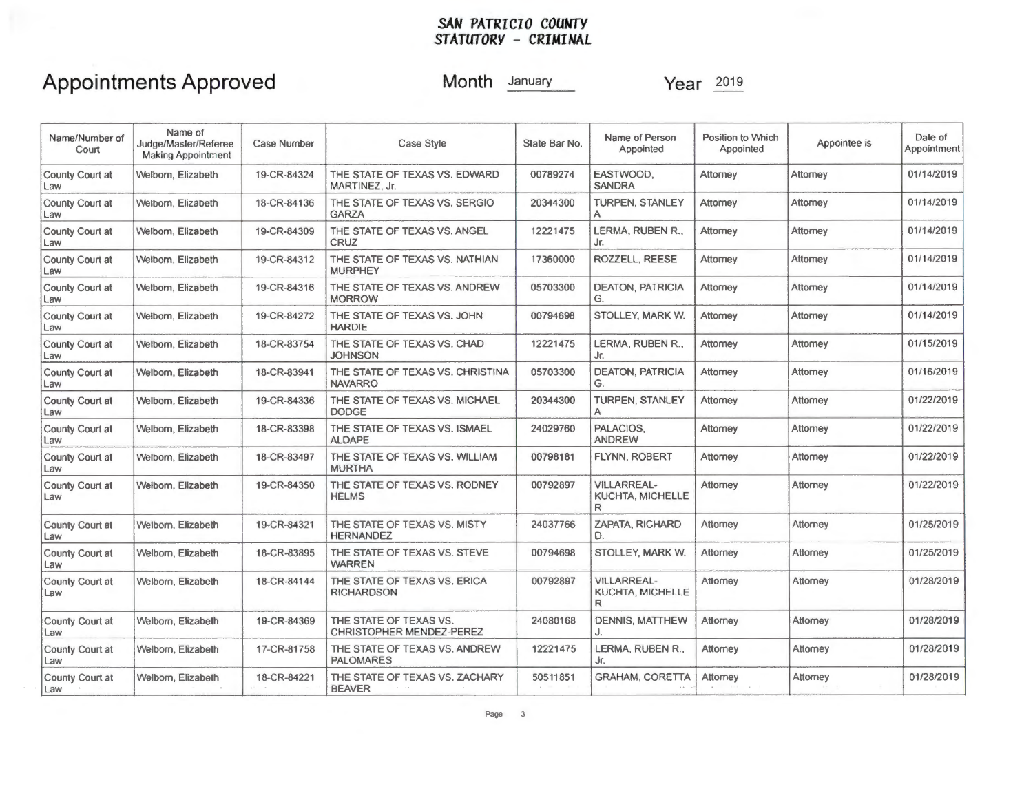# **Appointments Approved**

**Month** January

| Name/Number of<br>Court       | Name of<br>Judge/Master/Referee<br><b>Making Appointment</b> | <b>Case Number</b> | Case Style                                         | State Bar No. | Name of Person<br>Appointed                         | <b>Position to Which</b><br>Appointed | Appointee is | Date of<br>Appointment |
|-------------------------------|--------------------------------------------------------------|--------------------|----------------------------------------------------|---------------|-----------------------------------------------------|---------------------------------------|--------------|------------------------|
| County Court at<br>Law        | Welborn, Elizabeth                                           | 19-CR-84324        | THE STATE OF TEXAS VS. EDWARD<br>MARTINEZ, Jr.     | 00789274      | EASTWOOD.<br><b>SANDRA</b>                          | Attorney                              | Attorney     | 01/14/2019             |
| County Court at<br>Law        | Welborn, Elizabeth                                           | 18-CR-84136        | THE STATE OF TEXAS VS. SERGIO<br><b>GARZA</b>      | 20344300      | <b>TURPEN, STANLEY</b><br>A                         | Attorney                              | Attorney     | 01/14/2019             |
| County Court at<br>Law        | Welborn, Elizabeth                                           | 19-CR-84309        | THE STATE OF TEXAS VS. ANGEL<br><b>CRUZ</b>        | 12221475      | LERMA, RUBEN R.,<br>Jr.                             | Attorney                              | Attorney     | 01/14/2019             |
| County Court at<br>Law        | Welborn, Elizabeth                                           | 19-CR-84312        | THE STATE OF TEXAS VS. NATHIAN<br><b>MURPHEY</b>   | 17360000      | ROZZELL, REESE                                      | Attomey                               | Attorney     | 01/14/2019             |
| County Court at<br>Law        | Welborn, Elizabeth                                           | 19-CR-84316        | THE STATE OF TEXAS VS. ANDREW<br><b>MORROW</b>     | 05703300      | <b>DEATON, PATRICIA</b><br>G.                       | Attomey                               | Attorney     | 01/14/2019             |
| County Court at<br>Law        | Welborn, Elizabeth                                           | 19-CR-84272        | THE STATE OF TEXAS VS. JOHN<br><b>HARDIE</b>       | 00794698      | STOLLEY, MARK W.                                    | Attorney                              | Attorney     | 01/14/2019             |
| County Court at<br>Law        | Welborn, Elizabeth                                           | 18-CR-83754        | THE STATE OF TEXAS VS. CHAD<br><b>JOHNSON</b>      | 12221475      | LERMA, RUBEN R.,<br>Jr.                             | Attorney                              | Attorney     | 01/15/2019             |
| County Court at<br>Law        | Welborn, Elizabeth                                           | 18-CR-83941        | THE STATE OF TEXAS VS. CHRISTINA<br><b>NAVARRO</b> | 05703300      | <b>DEATON, PATRICIA</b><br>G.                       | Attomey                               | Attorney     | 01/16/2019             |
| <b>County Court at</b><br>Law | Welborn, Elizabeth                                           | 19-CR-84336        | THE STATE OF TEXAS VS. MICHAEL<br><b>DODGE</b>     | 20344300      | <b>TURPEN, STANLEY</b><br>A                         | Attorney                              | Attomey      | 01/22/2019             |
| County Court at<br>Law        | Welbom, Elizabeth                                            | 18-CR-83398        | THE STATE OF TEXAS VS. ISMAEL<br><b>ALDAPE</b>     | 24029760      | PALACIOS.<br><b>ANDREW</b>                          | Attorney                              | Attorney     | 01/22/2019             |
| County Court at<br>Law        | Welborn, Elizabeth                                           | 18-CR-83497        | THE STATE OF TEXAS VS. WILLIAM<br><b>MURTHA</b>    | 00798181      | <b>FLYNN, ROBERT</b>                                | Attomey                               | Attorney     | 01/22/2019             |
| County Court at<br>Law        | Welborn, Elizabeth                                           | 19-CR-84350        | THE STATE OF TEXAS VS. RODNEY<br><b>HELMS</b>      | 00792897      | <b>VILLARREAL-</b><br>KUCHTA, MICHELLE<br>R         | Attomey                               | Attorney     | 01/22/2019             |
| County Court at<br>Law        | Welborn, Elizabeth                                           | 19-CR-84321        | THE STATE OF TEXAS VS. MISTY<br><b>HERNANDEZ</b>   | 24037766      | <b>ZAPATA, RICHARD</b><br>D.                        | Attomey                               | Attomey      | 01/25/2019             |
| County Court at<br>Law        | Welbom, Elizabeth                                            | 18-CR-83895        | THE STATE OF TEXAS VS. STEVE<br><b>WARREN</b>      | 00794698      | STOLLEY, MARK W.                                    | Attomey                               | Attorney     | 01/25/2019             |
| County Court at<br>Law        | Welborn, Elizabeth                                           | 18-CR-84144        | THE STATE OF TEXAS VS. ERICA<br><b>RICHARDSON</b>  | 00792897      | <b>VILLARREAL-</b><br><b>KUCHTA, MICHELLE</b><br>R. | Attomey                               | Attorney     | 01/28/2019             |
| County Court at<br>Law        | Welborn, Elizabeth                                           | 19-CR-84369        | THE STATE OF TEXAS VS.<br>CHRISTOPHER MENDEZ-PEREZ | 24080168      | <b>DENNIS, MATTHEW</b>                              | Attorney                              | Attorney     | 01/28/2019             |
| County Court at<br>Law        | Welborn, Elizabeth                                           | 17-CR-81758        | THE STATE OF TEXAS VS. ANDREW<br><b>PALOMARES</b>  | 12221475      | LERMA, RUBEN R.,<br>Jr.                             | Attorney                              | Attorney     | 01/28/2019             |
| County Court at<br>Law        | Welborn, Elizabeth                                           | 18-CR-84221        | THE STATE OF TEXAS VS. ZACHARY<br><b>BEAVER</b>    | 50511851      | <b>GRAHAM, CORETTA</b>                              | Attomey                               | Attorney     | 01/28/2019             |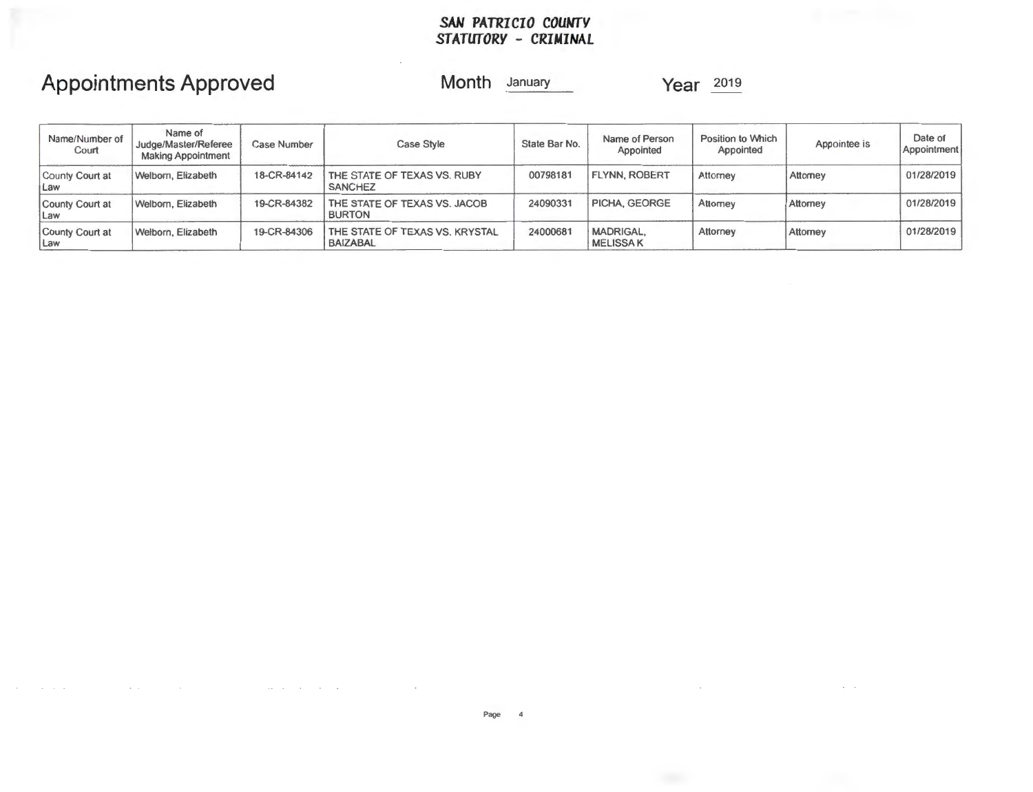# **Appointments Approved**

**Month** January **Year** <sup>2019</sup>

| Name/Number of<br>Court       | Name of<br>Judge/Master/Referee<br><b>Making Appointment</b> | Case Number | Case Style                                        | State Bar No. | Name of Person<br>Appointed         | Position to Which<br>Appointed | App <sub>oint</sub> ee is | Date of<br>Appointment |
|-------------------------------|--------------------------------------------------------------|-------------|---------------------------------------------------|---------------|-------------------------------------|--------------------------------|---------------------------|------------------------|
| County Court at<br><b>Law</b> | Welborn, Elizabeth                                           | 18-CR-84142 | THE STATE OF TEXAS VS. RUBY<br><b>SANCHEZ</b>     | 00798181      | <b>FLYNN, ROBERT</b>                | Attorney                       | Attorney                  | 01/28/2019             |
| County Court at<br>Law        | Welborn, Elizabeth                                           | 19-CR-84382 | THE STATE OF TEXAS VS. JACOB<br><b>BURTON</b>     | 24090331      | PICHA, GEORGE                       | Attomey                        | Attorney                  | 01/28/2019             |
| County Court at<br><b>Law</b> | Welborn, Elizabeth                                           | 19-CR-84306 | THE STATE OF TEXAS VS. KRYSTAL<br><b>BAIZABAL</b> | 24000681      | <b>MADRIGAL,</b><br><b>MELISSAK</b> | Attorney                       | Attorney                  | 01/28/2019             |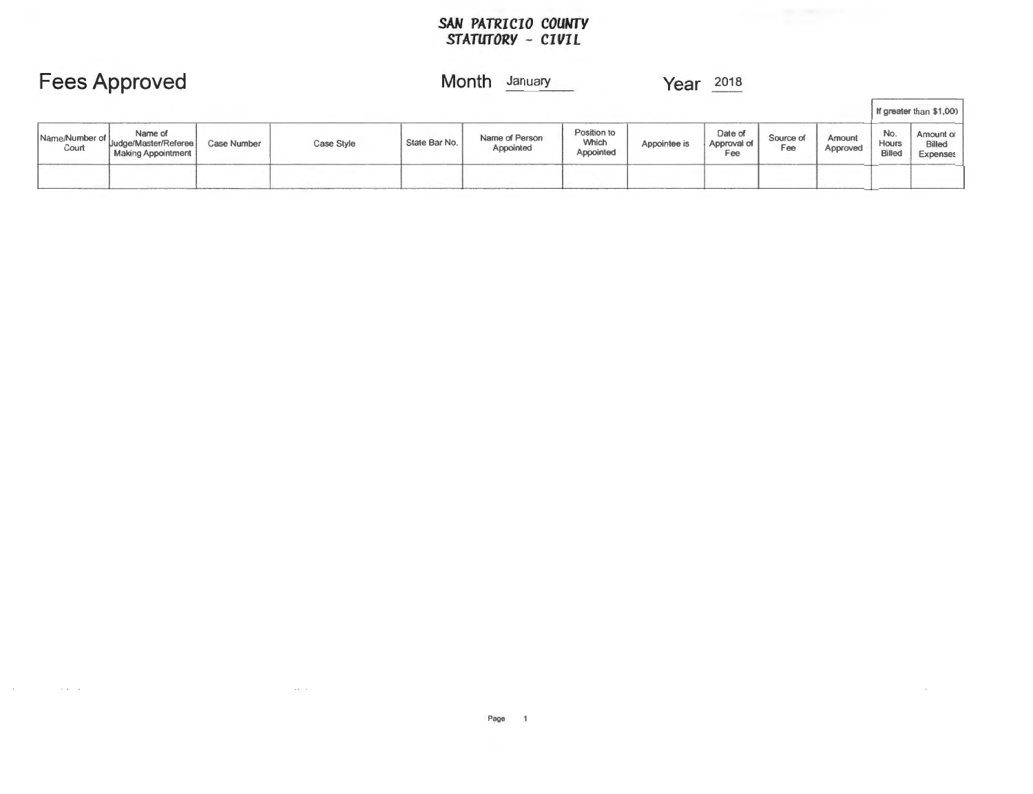|                         | <b>Fees Approved</b>                                         |             |            | Month<br>January |                             |                                   |              | 2018<br>Year                  |                  |                    |                               |                                 |
|-------------------------|--------------------------------------------------------------|-------------|------------|------------------|-----------------------------|-----------------------------------|--------------|-------------------------------|------------------|--------------------|-------------------------------|---------------------------------|
|                         |                                                              |             |            |                  |                             |                                   |              |                               |                  |                    |                               | If greater than \$1,000         |
| Name/Number of<br>Court | Name of<br>Uudge/Master/Referee<br><b>Making Appointment</b> | Case Number | Case Style | State Bar No.    | Name of Person<br>Appointed | Position to<br>Which<br>Appointed | Appointee is | Date of<br>Approval of<br>Fee | Source of<br>Fee | Amount<br>Approved | No.<br>Hours<br><b>Billed</b> | Amount of<br>Billed<br>Expenses |
|                         |                                                              |             |            |                  |                             |                                   |              |                               |                  |                    |                               |                                 |

 $\sim 10^{-1}$ 

 $\sim 100$  km s  $^{-1}$ 

 $\sim$ 

 $\alpha$  ,  $\alpha$  ,  $\alpha$